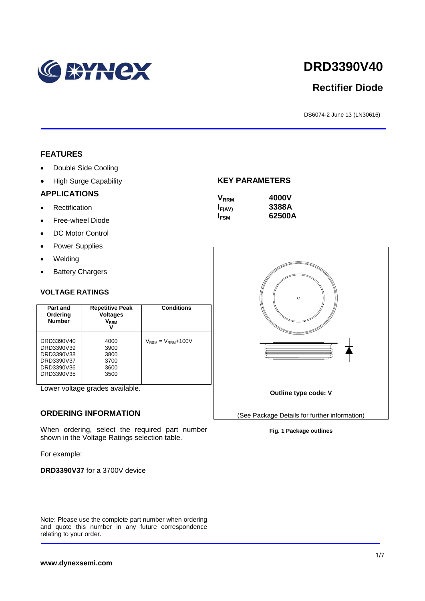

# **DRD3390V40**

# **Rectifier Diode**

DS6074-2 June 13 (LN30616)

#### **FEATURES**

- Double Side Cooling
- High Surge Capability

#### **APPLICATIONS**

- Rectification
- Free-wheel Diode
- DC Motor Control
- Power Supplies
- Welding
- Battery Chargers

#### **VOLTAGE RATINGS**

| <b>Repetitive Peak</b><br>Part and<br><b>Voltages</b><br>Ordering<br><b>Number</b><br>Vrrm<br>v |                                              | <b>Conditions</b>                        |
|-------------------------------------------------------------------------------------------------|----------------------------------------------|------------------------------------------|
| DRD3390V40<br>DRD3390V39<br>DRD3390V38<br>DRD3390V37<br>DRD3390V36<br>DRD3390V35                | 4000<br>3900<br>3800<br>3700<br>3600<br>3500 | $V_{\text{RSM}} = V_{\text{RRM}} + 100V$ |

Lower voltage grades available.

#### **ORDERING INFORMATION**

When ordering, select the required part number shown in the Voltage Ratings selection table.

For example:

**DRD3390V37** for a 3700V device

Note: Please use the complete part number when ordering and quote this number in any future correspondence relating to your order.

#### **KEY PARAMETERS**

| <b>V</b> <sub>RRM</sub> | 4000V  |
|-------------------------|--------|
| $I_{F(AV)}$             | 3388A  |
| <b>I</b> <sub>FSM</sub> | 62500A |



**Fig. 1 Package outlines**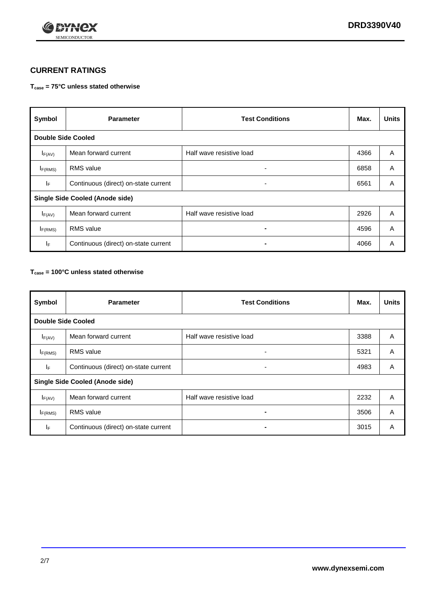

## **CURRENT RATINGS**

#### **Tcase = 75°C unless stated otherwise**

| Symbol                                 | <b>Parameter</b>                     | <b>Test Conditions</b>   | Max. | <b>Units</b> |  |
|----------------------------------------|--------------------------------------|--------------------------|------|--------------|--|
| <b>Double Side Cooled</b>              |                                      |                          |      |              |  |
| $I_{F(AV)}$                            | Mean forward current                 | Half wave resistive load | 4366 | A            |  |
| $I_{F(RMS)}$                           | <b>RMS</b> value                     | ۰                        | 6858 | A            |  |
| IF.                                    | Continuous (direct) on-state current | ۰                        | 6561 | A            |  |
| <b>Single Side Cooled (Anode side)</b> |                                      |                          |      |              |  |
| $I_{F(AV)}$                            | Mean forward current                 | Half wave resistive load | 2926 | A            |  |
| $I_{F(RMS)}$                           | <b>RMS</b> value                     | $\blacksquare$           | 4596 | A            |  |
| ΙF                                     | Continuous (direct) on-state current |                          | 4066 | A            |  |

#### **Tcase = 100°C unless stated otherwise**

| Symbol                                 | <b>Parameter</b>                     | <b>Test Conditions</b>   | Max. | <b>Units</b> |  |
|----------------------------------------|--------------------------------------|--------------------------|------|--------------|--|
| <b>Double Side Cooled</b>              |                                      |                          |      |              |  |
| $I_{F(AV)}$                            | Mean forward current                 | Half wave resistive load | 3388 | A            |  |
| $I_{F(RMS)}$                           | <b>RMS</b> value                     | ٠                        | 5321 | A            |  |
| IF                                     | Continuous (direct) on-state current | ۰                        | 4983 | A            |  |
| <b>Single Side Cooled (Anode side)</b> |                                      |                          |      |              |  |
| $I_{F(AV)}$                            | Mean forward current                 | Half wave resistive load | 2232 | A            |  |
| I <sub>F(RMS)</sub>                    | <b>RMS</b> value                     | $\blacksquare$           | 3506 | A            |  |
| IF.                                    | Continuous (direct) on-state current | $\blacksquare$           | 3015 | A            |  |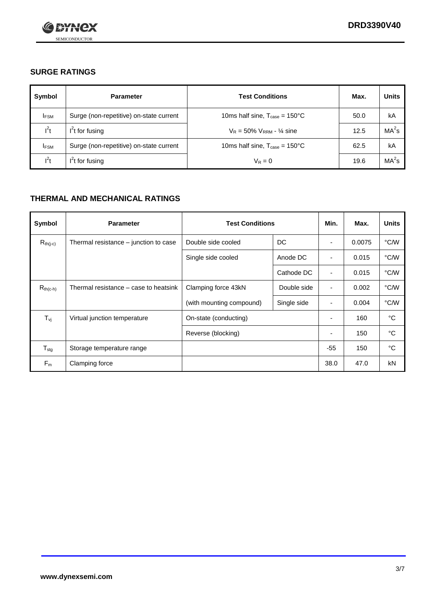

## **SURGE RATINGS**

| Symbol      | <b>Parameter</b>                        | <b>Test Conditions</b>                            | Max. | <b>Units</b>      |
|-------------|-----------------------------------------|---------------------------------------------------|------|-------------------|
| <b>IFSM</b> | Surge (non-repetitive) on-state current | 10ms half sine, $T_{\text{case}} = 150^{\circ}$ C | 50.0 | kA                |
| $l^2t$      | $I2t$ for fusing                        | $V_R = 50\% V_{RRM} - \frac{1}{4}$ sine           | 12.5 | MA <sup>2</sup> s |
| <b>IFSM</b> | Surge (non-repetitive) on-state current | 10ms half sine, $T_{\text{case}} = 150^{\circ}$ C | 62.5 | kA                |
| $l^2t$      | $I2t$ for fusing                        | $V_R = 0$                                         | 19.6 | MA <sup>2</sup> s |

## **THERMAL AND MECHANICAL RATINGS**

| Symbol            | <b>Parameter</b>                      | <b>Test Conditions</b>   |             | Min.                     | Max.   | <b>Units</b> |
|-------------------|---------------------------------------|--------------------------|-------------|--------------------------|--------|--------------|
| $R_{th(j-c)}$     | Thermal resistance – junction to case | Double side cooled       | DC          | ٠                        | 0.0075 | °C/W         |
|                   |                                       | Single side cooled       | Anode DC    | $\overline{\phantom{a}}$ | 0.015  | °C/W         |
|                   |                                       |                          | Cathode DC  | ٠                        | 0.015  | °C/W         |
| $R_{th(c-h)}$     | Thermal resistance – case to heatsink | Clamping force 43kN      | Double side | $\blacksquare$           | 0.002  | °C/W         |
|                   |                                       | (with mounting compound) | Single side | ٠                        | 0.004  | °C/W         |
| $T_{\mathsf{vj}}$ | Virtual junction temperature          | On-state (conducting)    |             | $\overline{\phantom{a}}$ | 160    | °C           |
|                   |                                       | Reverse (blocking)       |             | ٠                        | 150    | °C           |
| $T_{\text{stg}}$  | Storage temperature range             |                          |             | $-55$                    | 150    | °C           |
| $F_m$             | Clamping force                        |                          |             | 38.0                     | 47.0   | kN           |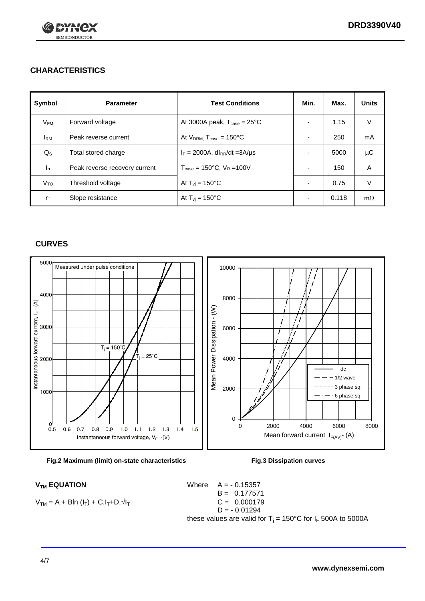

## **CHARACTERISTICS**

| Symbol                 | <b>Parameter</b>              | <b>Test Conditions</b>                          | Min.                     | Max.  | <b>Units</b> |
|------------------------|-------------------------------|-------------------------------------------------|--------------------------|-------|--------------|
| $V_{\mathsf{FM}}$      | Forward voltage               | At 3000A peak, $T_{\text{case}} = 25^{\circ}C$  | $\overline{\phantom{0}}$ | 1.15  | V            |
| <b>I</b> <sub>RM</sub> | Peak reverse current          | At $V_{DRM}$ , $T_{case} = 150^{\circ}C$        | $\overline{\phantom{a}}$ | 250   | mA           |
| $Q_{\rm S}$            | Total stored charge           | $I_F = 2000A$ , dl <sub>RR</sub> /dt = 3A/us    |                          | 5000  | μC           |
| $I_{rr}$               | Peak reverse recovery current | $T_{\text{case}} = 150^{\circ}$ C, $V_R = 100V$ |                          | 150   | A            |
| Vто                    | Threshold voltage             | At $T_{\rm{vj}}$ = 150°C                        | ٠                        | 0.75  | V            |
| $r_{\text{T}}$         | Slope resistance              | At $T_{\rm{vj}}$ = 150°C                        | ٠                        | 0.118 | $m\Omega$    |

#### **CURVES**





$$
V_{TM} = A + B\ln (I_T) + C.I_T + D.\sqrt{I_T}
$$

 $V_{TM}$  **EQUATION** Where  $A = -0.15357$  $B = 0.177571$  $C = 0.000179$  $D = -0.01294$ these values are valid for  $T_j = 150^{\circ}$ C for  $I_F$  500A to 5000A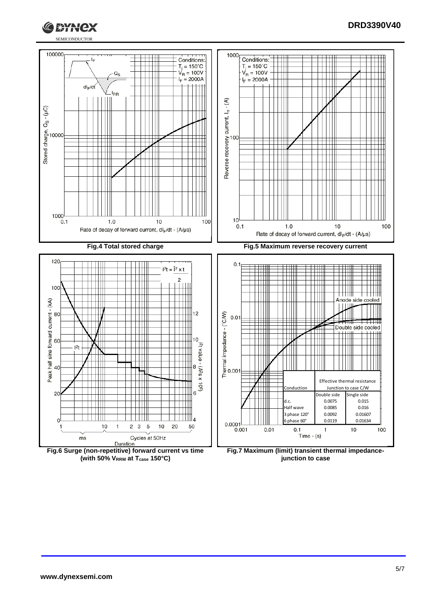

#### **DRD3390V40**



**(with 50% VRRM at Tcase 150°C)**

**junction to case**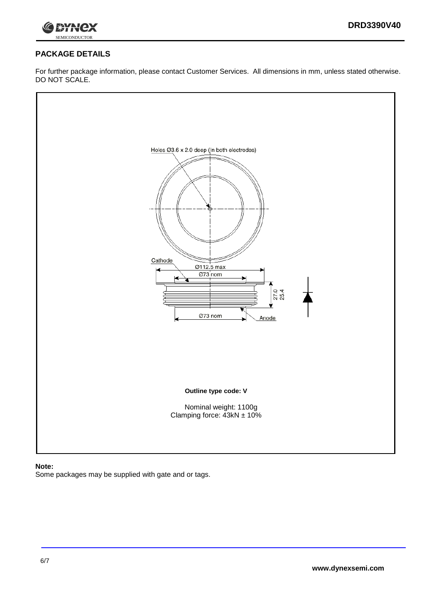

## **PACKAGE DETAILS**

For further package information, please contact Customer Services. All dimensions in mm, unless stated otherwise. DO NOT SCALE.



#### **Note:**

Some packages may be supplied with gate and or tags.